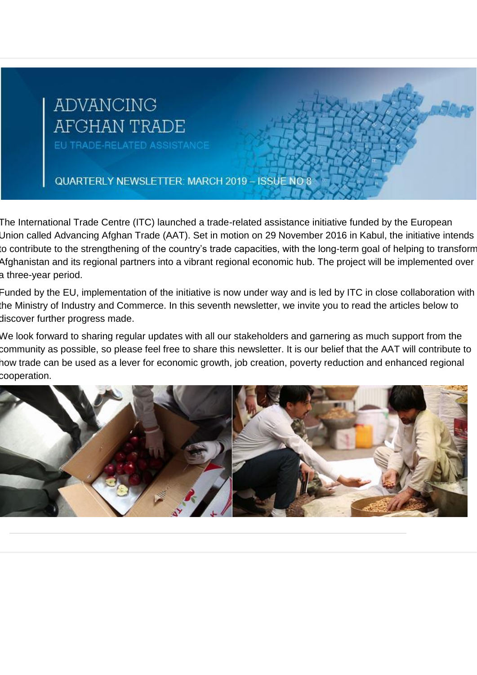# **ADVANCING** AFGHAN TRADE

EU TRADE-RELATED ASSISTANCE

QUARTERLY NEWSLETTER: MARCH 2019 - ISSUE NO 8

The International Trade Centre (ITC) launched a trade-related assistance initiative funded by the European Union called Advancing Afghan Trade (AAT). Set in motion on 29 November 2016 in Kabul, the initiative intends to contribute to the strengthening of the country's trade capacities, with the long-term goal of helping to transform Afghanistan and its regional partners into a vibrant regional economic hub. The project will be implemented over a three-year period.

Funded by the EU, implementation of the initiative is now under way and is led by ITC in close collaboration with the Ministry of Industry and Commerce. In this seventh newsletter, we invite you to read the articles below to discover further progress made.

We look forward to sharing regular updates with all our stakeholders and garnering as much support from the community as possible, so please feel free to share this newsletter. It is our belief that the AAT will contribute to how trade can be used as a lever for economic growth, job creation, poverty reduction and enhanced regional cooperation.

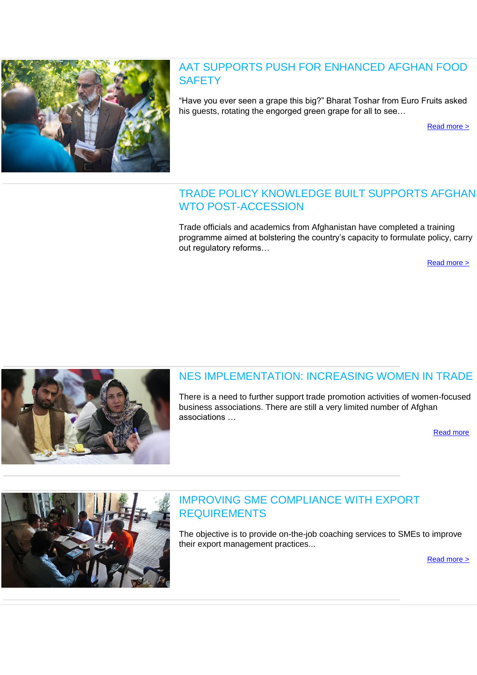

## AAT SUPPORTS PUSH FOR ENHANCED AFGHAN FOOD **SAFETY**

"Have you ever seen a grape this big?" Bharat Toshar from Euro Fruits asked his guests, rotating the engorged green grape for all to see…

[Read more >](http://eye.maillink.intracen.org/c?p=xBDQitDGM9Df0KXQqULQqtCgGFBo0JBA0LNoxBA50KMSO9C8HUBg0ILQ1jN2JAdfY9lSaHR0cDovL3d3dy5pbnRyYWNlbi5vcmcvdXBsb2FkZWRGaWxlcy9pbnRyYWNlbm9yZy9CbG9ncy9BQVQvRm9vZHNhZnRldHlhcnRpY2xlLnBkZrg1YTcwM2U0N2I4NWI1MzZhOWY0YmY2MDjEEG_3-tCPEgxN9NCRCdDE0JzQpUbQix65ZXllLm1haWxsaW5rLmludHJhY2VuLm9yZ8QU0NvQxtCD0KHQghrQsWVo93kM0NdoVmMZ0IkiXw)

#### TRADE POLICY KNOWLEDGE BUILT SUPPORTS AFGHAN WTO POST-ACCESSION

Trade officials and academics from Afghanistan have completed a training programme aimed at bolstering the country's capacity to formulate policy, carry out regulatory reforms…

[Read more >](http://eye.maillink.intracen.org/c?p=xBDQitDGM9Df0KXQqULQqtCgGFBo0JBA0LNoxBDQ0dDE0KNS7ltGIdC-P0TQxew00L3n2W5odHRwOi8vd3d3LmludHJhY2VuLm9yZy9uZXdzL1R3by15ZWFyLXRyYWluaW5nLXByb2dyYW1tZS1mb3ItQWZnaGFuLXRyYWRlLXBvbGljeW1ha2Vycy1jb25jbHVkZXMtaW4tTmV3LURlbGhpL7g1YTcwM2U0N2I4NWI1MzZhOWY0YmY2MDjEEG_3-tCPEgxN9NCRCdDE0JzQpUbQix65ZXllLm1haWxsaW5rLmludHJhY2VuLm9yZ8QU0NvQxtCD0KHQghrQsWVo93kM0NdoVmMZ0IkiXw)



# NES IMPLEMENTATION: INCREASING WOMEN IN TRADE

There is a need to further support trade promotion activities of women-focused business associations. There are still a very limited number of Afghan associations …

[Read more](http://eye.maillink.intracen.org/c?p=xBDQitDGM9Df0KXQqULQqtCgGFBo0JBA0LNoxBDQjtDE0NlR-ftL0MbQsu1GQQRTK-7ZSGh0dHA6Ly93d3cuaW50cmFjZW4ub3JnL3VwbG9hZGVkRmlsZXMvaW50cmFjZW5vcmcvQmxvZ3MvQUFUL05FU1RyYWRlLnBkZrg1YTcwM2U0N2I4NWI1MzZhOWY0YmY2MDjEEG_3-tCPEgxN9NCRCdDE0JzQpUbQix65ZXllLm1haWxsaW5rLmludHJhY2VuLm9yZ8QU0NvQxtCD0KHQghrQsWVo93kM0NdoVmMZ0IkiXw)



#### IMPROVING SME COMPLIANCE WITH EXPORT REQUIREMENTS

The objective is to provide on-the-job coaching services to SMEs to improve their export management practices...

[Read more >](http://eye.maillink.intracen.org/c?p=xBDQitDGM9Df0KXQqULQqtCgGFBo0JBA0LNoxBDQ0zzQqGdoJUQ50LNhChPh0LL-YNlHaHR0cDovL3d3dy5pbnRyYWNlbi5vcmcvdXBsb2FkZWRGaWxlcy9pbnRyYWNlbm9yZy9CbG9ncy9BQVQvU01FU0FydC5wZGa4NWE3MDNlNDdiODViNTM2YTlmNGJmNjA4xBBv9_rQjxIMTfTQkQnQxNCc0KVG0IseuWV5ZS5tYWlsbGluay5pbnRyYWNlbi5vcmfEFNDb0MbQg9Ch0IIa0LFlaPd5DNDXaFZjGdCJIl8)